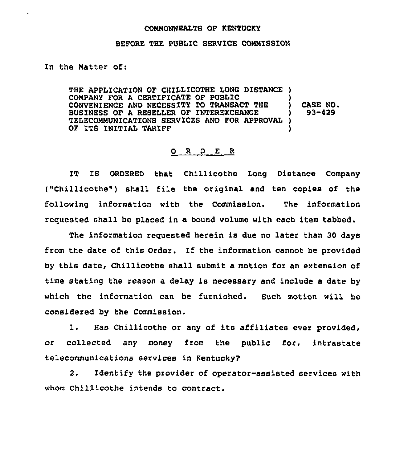## COMMONWEALTH OF KENTUCKY

## BEFORE THE PUBLIC SERVICE COMMISSION

In the Matter of:

THE APPLICATION OF CHILLICOTHE LONG DISTANCE ) COMPANY FOR A CERTIFICATE OF PUBLIC CONVENIENCE AND NECESSITY TO TRANSACT THE BUSINESS OF A RESELLER OF INTEREXCHANGE )<br>TELECOMMUNICATIONS SERVICES AND FOR APPROVAL ) TELECOMMUNICATIONS SERVICES AND FOR APPROVAL ) OF ITS INITIAL TARIFF CASE NO. 93-429

## 0 R <sup>D</sup> E R

IT IS ORDERED that Chillicothe Long Distance Company ("Chillicothe") shall file the original and ten copies of the following information with the Commission. The information requested shall be placed in a bound volume with each item tabbed.

The information requested herein is due no later than 30 days from the date of this Order. Zf the information cannot be provided by this date, Chillicothe shall submit a motion for an extension of time stating the reason a delay is necessary and include a date by which the information ran be furnished. Such motion will be considered by the Commission.

1. Has Chillicothe or any of its affiliates ever provided, or collected any money from the public for, intrastate telecommunications services in Kentucky?

2. Identify the provider of operator-assisted services with whom Chillicothe intends to contract.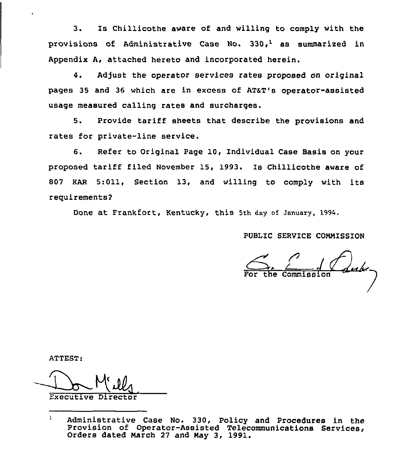3. Is Chillicothe aware of and willing to comply with the provisions of Administrative Case No.  $330<sub>r</sub><sup>1</sup>$  as summarized in Appendix A, attached hereto and incorporated herein.

4. Adjust the operator services rates proposed on original pages 35 and 36 which are in excess of ATsT's operator-assisted usage measured calling rates and surcharges.

5. Provide tariff sheets that describe the provisions and rates for private-line service.

6. Refer to Original Page 10, Individual Case Basis on your proposed tariff filed November 15, 1993. Is Chillicothe aware of 807 KAR 5:011, Section 13, and willing to comply with its requirements2

Done at Frankfort, Kentucky, this 5th day of January, 1994.

PUBLIC SERVICE COMMISSION

<u>fub</u>e\_ For the Commissio

ATTEST:

Executive Director

 $\mathbf{1}$ Administrative Case No. 330, Policy and Procedures in the<br>Provision of Operator-Assisted Telecommunications Services, Orders dated Narch <sup>27</sup> and Nay 3, 1991.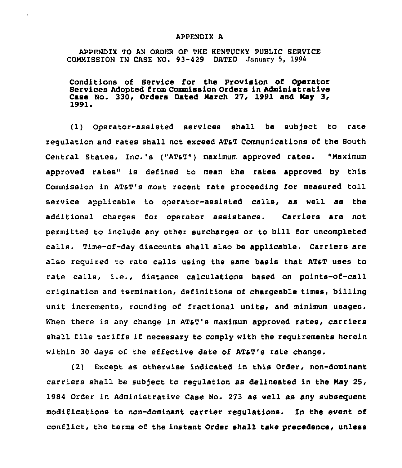## APPENDIX A

APPENDIX TO AN ORDER OF THE KENTUCKY PUBLIC SERVICE COMMISSION IN CASE NO. 93-429 DATED January 5, 1994

Conditions of Service for the Provision of Operator Services Adopted from Commission Orders in Administrative Case No. 330, Orders Dated March 27, 1991 and May 3,<br>1991.

(1) Operator-assisted services shall be subject to rate regulation and rates shall not exceed ATaT Communications of the South Central States, Inc.'s ("ATST") maximum approved rates. "Maximum approved rates" is defined to mean the rates approved by this Commission in AT&T's most recent rate proceeding for measured toll service applicable to operator-assisted calls, as well as the additional charges for operator assistance. Carriers are not permitted to include any other surcharges or to bill for uncompleted calls. Time-of-day discounts shall also be applicable. Carriers are also required to rate calls using the same basis that AT&T uses to rate calls, i.e., distance calculations based on points-of-call origination and termination, definitions of chargeable times, billing unit increments, rounding of fractional units, and minimum usages. When there is any change in AT&T's maximum approved rates, carriers shall file tariffs if necessary to comply with the requirements herein within 30 days of the effective date of ATaT's rate change.

(2) Except as otherwise indicated in this Order, non-dominant carriers shall be subject to regulation as delineated in the May 25, 1984 order in Administrative case No. 273 as well as any subsequent modifications to non-dominant carrier regulations. In the event of conflict, the terms of the instant Order shall take precedence, unless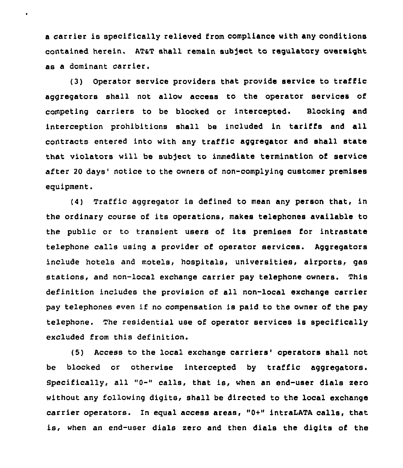<sup>a</sup> carrier is specifically relieved from compliance with any conditions contained herein. ATaT shall remain sub]ect to regulatory oversight as a dominant carrier.

(3) Operator service providers that provide service to traffic aggregators shall not allow access to the operator services of competing carriers to be blocked or intercepted. Blocking and interception prohibitions shall be included in tariffs and all contracts entered into with any traffic aggregator and shall state that violators will be subject to immediate termination of service after 20 days' notice to the owners of non-complying customer premises equipment.

(4) Traffic aggregator is defined to mean any person that, in the ordinary course of its operations, makes telephones available to the public or to transient users of its premises for intrastate telephone calls using a provider of operator services. Aggregatore include hotels and motels, hospitals, universities, airports, gas stations, and non-local exchange carrier pay telephone owners. This definition includes the provision of all non-local exchange carrier pay telephones even if no compensation is paid to the owner of the pay telephone. The residential use of operator services is specifically excluded from this definition.

(5) Access to the local exchange carriers'perators shall not be blocked or otherwise intercepted by traffic aggregators. Specifically, all "0-" calls, that is, when an end-user dials zero without any following digits, shall be directed to the local exchange carrier operators. In equal access areas, "0+" intraLATA calls, that is, when an end-user dials zero and then dials the digits of the